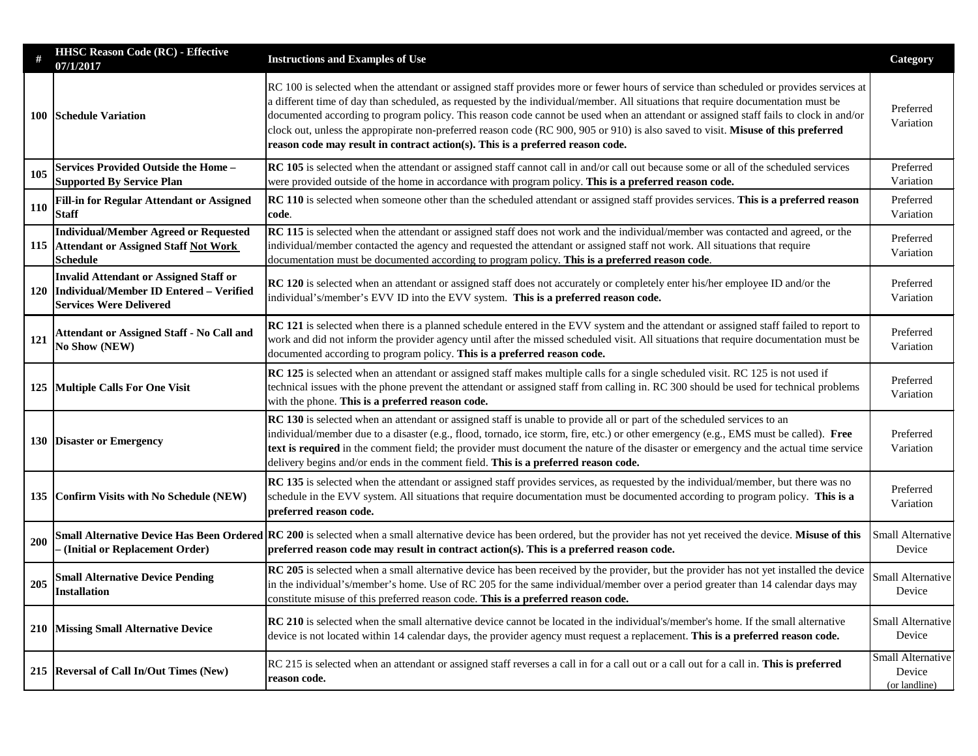|            | <b>HHSC Reason Code (RC) - Effective</b><br>07/1/2017                                                                                                                                                                                                                                                                | <b>Instructions and Examples of Use</b>                                                                                                                                                                                                                                                                                                                                                                                                                                                                                                                                                                                                   | Category                                            |
|------------|----------------------------------------------------------------------------------------------------------------------------------------------------------------------------------------------------------------------------------------------------------------------------------------------------------------------|-------------------------------------------------------------------------------------------------------------------------------------------------------------------------------------------------------------------------------------------------------------------------------------------------------------------------------------------------------------------------------------------------------------------------------------------------------------------------------------------------------------------------------------------------------------------------------------------------------------------------------------------|-----------------------------------------------------|
|            | 100 Schedule Variation                                                                                                                                                                                                                                                                                               | RC 100 is selected when the attendant or assigned staff provides more or fewer hours of service than scheduled or provides services at<br>a different time of day than scheduled, as requested by the individual/member. All situations that require documentation must be<br>documented according to program policy. This reason code cannot be used when an attendant or assigned staff fails to clock in and/or<br>clock out, unless the appropirate non-preferred reason code (RC 900, 905 or 910) is also saved to visit. Misuse of this preferred<br>reason code may result in contract action(s). This is a preferred reason code. |                                                     |
| 105        | <b>Services Provided Outside the Home -</b><br><b>Supported By Service Plan</b>                                                                                                                                                                                                                                      | RC 105 is selected when the attendant or assigned staff cannot call in and/or call out because some or all of the scheduled services<br>were provided outside of the home in accordance with program policy. This is a preferred reason code.                                                                                                                                                                                                                                                                                                                                                                                             |                                                     |
| <b>110</b> | <b>Fill-in for Regular Attendant or Assigned</b><br>Staff                                                                                                                                                                                                                                                            | RC 110 is selected when someone other than the scheduled attendant or assigned staff provides services. This is a preferred reason<br>code.                                                                                                                                                                                                                                                                                                                                                                                                                                                                                               |                                                     |
|            | <b>Individual/Member Agreed or Requested</b><br>115 Attendant or Assigned Staff Not Work<br><b>Schedule</b>                                                                                                                                                                                                          | RC 115 is selected when the attendant or assigned staff does not work and the individual/member was contacted and agreed, or the<br>individual/member contacted the agency and requested the attendant or assigned staff not work. All situations that require<br>documentation must be documented according to program policy. This is a preferred reason code.                                                                                                                                                                                                                                                                          |                                                     |
| <b>120</b> | <b>Invalid Attendant or Assigned Staff or</b><br><b>Individual/Member ID Entered - Verified</b><br><b>Services Were Delivered</b>                                                                                                                                                                                    | <b>RC 120</b> is selected when an attendant or assigned staff does not accurately or completely enter his/her employee ID and/or the<br>individual's/member's EVV ID into the EVV system. This is a preferred reason code.                                                                                                                                                                                                                                                                                                                                                                                                                | Preferred<br>Variation                              |
| 121        | <b>Attendant or Assigned Staff - No Call and</b><br><b>No Show (NEW)</b>                                                                                                                                                                                                                                             | RC 121 is selected when there is a planned schedule entered in the EVV system and the attendant or assigned staff failed to report to<br>work and did not inform the provider agency until after the missed scheduled visit. All situations that require documentation must be<br>documented according to program policy. This is a preferred reason code.                                                                                                                                                                                                                                                                                |                                                     |
|            | 125 Multiple Calls For One Visit                                                                                                                                                                                                                                                                                     | RC 125 is selected when an attendant or assigned staff makes multiple calls for a single scheduled visit. RC 125 is not used if<br>technical issues with the phone prevent the attendant or assigned staff from calling in. RC 300 should be used for technical problems<br>with the phone. This is a preferred reason code.                                                                                                                                                                                                                                                                                                              |                                                     |
|            | 130 Disaster or Emergency                                                                                                                                                                                                                                                                                            | RC 130 is selected when an attendant or assigned staff is unable to provide all or part of the scheduled services to an<br>individual/member due to a disaster (e.g., flood, tornado, ice storm, fire, etc.) or other emergency (e.g., EMS must be called). Free<br>text is required in the comment field; the provider must document the nature of the disaster or emergency and the actual time service<br>delivery begins and/or ends in the comment field. This is a preferred reason code.                                                                                                                                           |                                                     |
|            | 135 Confirm Visits with No Schedule (NEW)                                                                                                                                                                                                                                                                            | RC 135 is selected when the attendant or assigned staff provides services, as requested by the individual/member, but there was no<br>schedule in the EVV system. All situations that require documentation must be documented according to program policy. This is a<br>preferred reason code.                                                                                                                                                                                                                                                                                                                                           |                                                     |
| 200        | <b>Small Alternative Device Has Been Ordered RC 200</b> is selected when a small alternative device has been ordered, but the provider has not yet received the device. Misuse of this<br>(Initial or Replacement Order)<br>preferred reason code may result in contract action(s). This is a preferred reason code. |                                                                                                                                                                                                                                                                                                                                                                                                                                                                                                                                                                                                                                           | Small Alternative<br>Device                         |
| 205        | <b>Small Alternative Device Pending</b><br><b>Installation</b>                                                                                                                                                                                                                                                       | RC 205 is selected when a small alternative device has been received by the provider, but the provider has not yet installed the device<br>Small Alternative<br>in the individual's/member's home. Use of RC 205 for the same individual/member over a period greater than 14 calendar days may<br>constitute misuse of this preferred reason code. This is a preferred reason code.                                                                                                                                                                                                                                                      |                                                     |
|            | 210 Missing Small Alternative Device                                                                                                                                                                                                                                                                                 | <b>RC</b> 210 is selected when the small alternative device cannot be located in the individual's/member's home. If the small alternative<br>device is not located within 14 calendar days, the provider agency must request a replacement. This is a preferred reason code.                                                                                                                                                                                                                                                                                                                                                              | Small Alternative<br>Device                         |
|            | 215 Reversal of Call In/Out Times (New)                                                                                                                                                                                                                                                                              | RC 215 is selected when an attendant or assigned staff reverses a call in for a call out or a call out for a call in. This is preferred<br>reason code.                                                                                                                                                                                                                                                                                                                                                                                                                                                                                   | <b>Small Alternative</b><br>Device<br>(or landline) |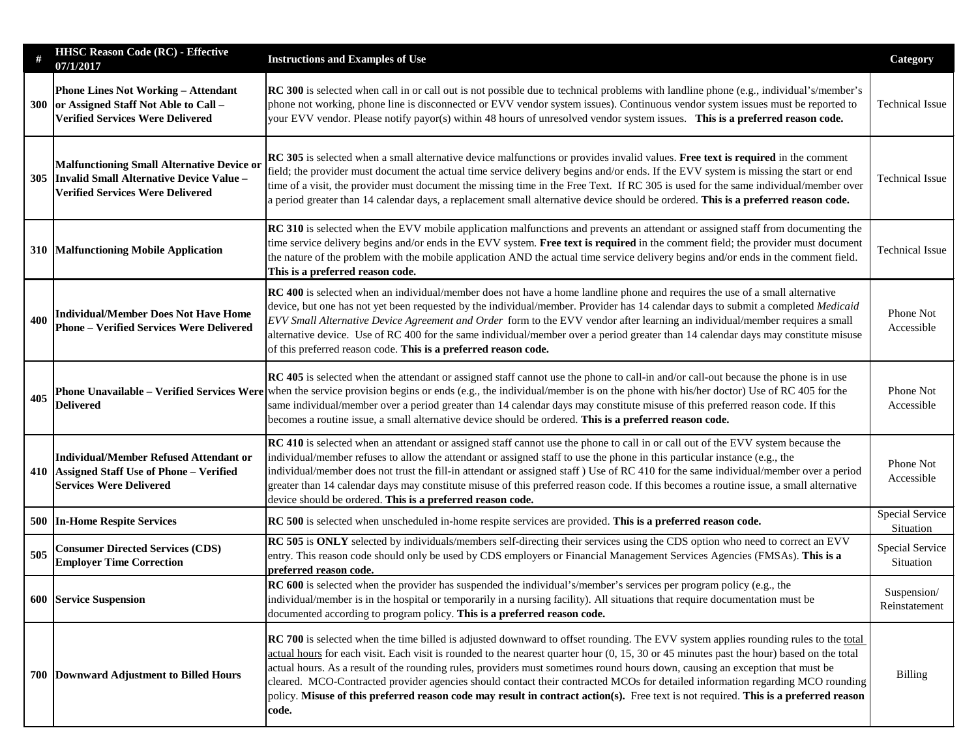|     | <b>HHSC Reason Code (RC) - Effective</b><br>07/1/2017                                                                                    | <b>Instructions and Examples of Use</b>                                                                                                                                                                                                                                                                                                                                                                                                                                                                                                                                                                                                                                                                        | Category                     |
|-----|------------------------------------------------------------------------------------------------------------------------------------------|----------------------------------------------------------------------------------------------------------------------------------------------------------------------------------------------------------------------------------------------------------------------------------------------------------------------------------------------------------------------------------------------------------------------------------------------------------------------------------------------------------------------------------------------------------------------------------------------------------------------------------------------------------------------------------------------------------------|------------------------------|
| 300 | <b>Phone Lines Not Working - Attendant</b><br>or Assigned Staff Not Able to Call -<br><b>Verified Services Were Delivered</b>            | <b>RC</b> 300 is selected when call in or call out is not possible due to technical problems with landline phone (e.g., individual's/member's<br>phone not working, phone line is disconnected or EVV vendor system issues). Continuous vendor system issues must be reported to<br>your EVV vendor. Please notify payor(s) within 48 hours of unresolved vendor system issues. This is a preferred reason code.                                                                                                                                                                                                                                                                                               |                              |
| 305 | <b>Malfunctioning Small Alternative Device or</b><br>Invalid Small Alternative Device Value -<br><b>Verified Services Were Delivered</b> | RC 305 is selected when a small alternative device malfunctions or provides invalid values. Free text is required in the comment<br>field; the provider must document the actual time service delivery begins and/or ends. If the EVV system is missing the start or end<br>time of a visit, the provider must document the missing time in the Free Text. If RC 305 is used for the same individual/member over<br>a period greater than 14 calendar days, a replacement small alternative device should be ordered. This is a preferred reason code.                                                                                                                                                         |                              |
|     | 310 Malfunctioning Mobile Application                                                                                                    | <b>RC</b> 310 is selected when the EVV mobile application malfunctions and prevents an attendant or assigned staff from documenting the<br>time service delivery begins and/or ends in the EVV system. Free text is required in the comment field; the provider must document<br><b>Technical Issue</b><br>the nature of the problem with the mobile application AND the actual time service delivery begins and/or ends in the comment field.<br>This is a preferred reason code.                                                                                                                                                                                                                             |                              |
| 400 | <b>Individual/Member Does Not Have Home</b><br><b>Phone - Verified Services Were Delivered</b>                                           | <b>RC</b> 400 is selected when an individual/member does not have a home landline phone and requires the use of a small alternative<br>device, but one has not yet been requested by the individual/member. Provider has 14 calendar days to submit a completed Medicaid<br>EVV Small Alternative Device Agreement and Order form to the EVV vendor after learning an individual/member requires a small<br>alternative device. Use of RC 400 for the same individual/member over a period greater than 14 calendar days may constitute misuse<br>of this preferred reason code. This is a preferred reason code.                                                                                              |                              |
| 405 | <b>Delivered</b>                                                                                                                         | <b>RC</b> 405 is selected when the attendant or assigned staff cannot use the phone to call-in and/or call-out because the phone is in use<br><b>Phone Unavailable – Verified Services Were</b> when the service provision begins or ends (e.g., the individual/member is on the phone with his/her doctor) Use of RC 405 for the<br>same individual/member over a period greater than 14 calendar days may constitute misuse of this preferred reason code. If this<br>becomes a routine issue, a small alternative device should be ordered. This is a preferred reason code.                                                                                                                                |                              |
|     | Individual/Member Refused Attendant or<br>410 Assigned Staff Use of Phone - Verified<br><b>Services Were Delivered</b>                   | RC 410 is selected when an attendant or assigned staff cannot use the phone to call in or call out of the EVV system because the<br>individual/member refuses to allow the attendant or assigned staff to use the phone in this particular instance (e.g., the<br>individual/member does not trust the fill-in attendant or assigned staff ) Use of RC 410 for the same individual/member over a period<br>greater than 14 calendar days may constitute misuse of this preferred reason code. If this becomes a routine issue, a small alternative<br>device should be ordered. This is a preferred reason code.                                                                                               |                              |
|     | <b>500 In-Home Respite Services</b>                                                                                                      | RC 500 is selected when unscheduled in-home respite services are provided. This is a preferred reason code.                                                                                                                                                                                                                                                                                                                                                                                                                                                                                                                                                                                                    |                              |
| 505 | <b>Consumer Directed Services (CDS)</b><br><b>Employer Time Correction</b>                                                               | RC 505 is ONLY selected by individuals/members self-directing their services using the CDS option who need to correct an EVV<br>entry. This reason code should only be used by CDS employers or Financial Management Services Agencies (FMSAs). This is a<br>preferred reason code.                                                                                                                                                                                                                                                                                                                                                                                                                            | Special Service<br>Situation |
|     | <b>600 Service Suspension</b>                                                                                                            | <b>RC 600</b> is selected when the provider has suspended the individual's/member's services per program policy (e.g., the<br>individual/member is in the hospital or temporarily in a nursing facility). All situations that require documentation must be<br>Reinstatement<br>documented according to program policy. This is a preferred reason code.                                                                                                                                                                                                                                                                                                                                                       |                              |
|     | 700 Downward Adjustment to Billed Hours                                                                                                  | <b>RC</b> 700 is selected when the time billed is adjusted downward to offset rounding. The EVV system applies rounding rules to the total<br>actual hours for each visit. Each visit is rounded to the nearest quarter hour $(0, 15, 30)$ or 45 minutes past the hour) based on the total<br>actual hours. As a result of the rounding rules, providers must sometimes round hours down, causing an exception that must be<br>cleared. MCO-Contracted provider agencies should contact their contracted MCOs for detailed information regarding MCO rounding<br>policy. Misuse of this preferred reason code may result in contract action(s). Free text is not required. This is a preferred reason<br>code. | <b>Billing</b>               |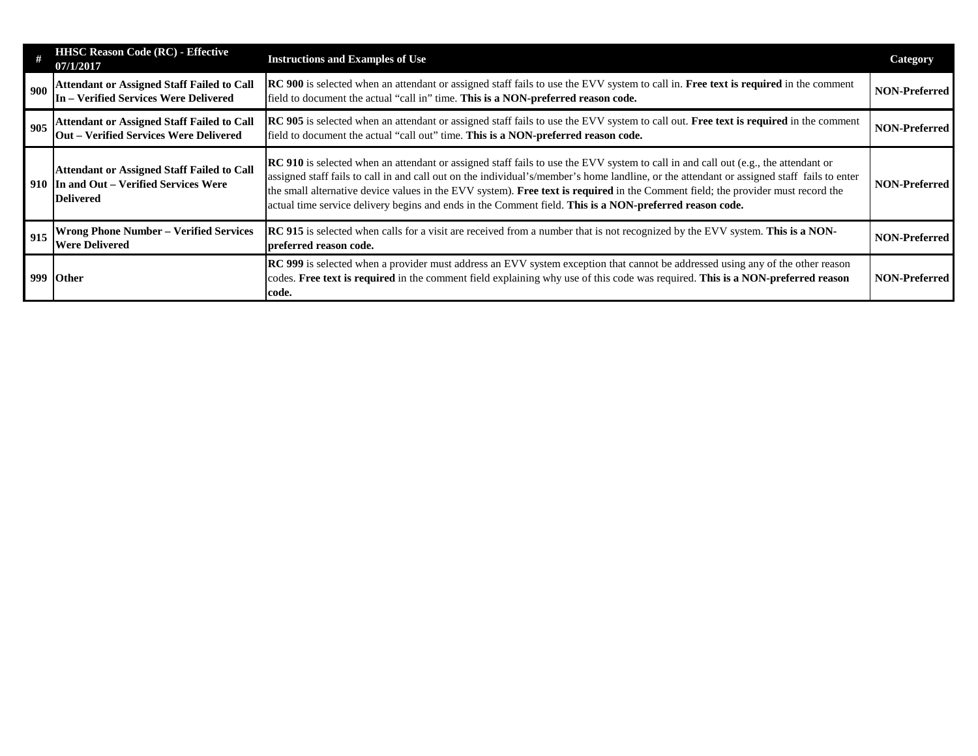|     | <b>HHSC Reason Code (RC) - Effective</b><br>07/1/2017                                                            | <b>Instructions and Examples of Use</b>                                                                                                                                                                                                                                                                                                                                                                                                                                                                                         | <b>Category</b>      |
|-----|------------------------------------------------------------------------------------------------------------------|---------------------------------------------------------------------------------------------------------------------------------------------------------------------------------------------------------------------------------------------------------------------------------------------------------------------------------------------------------------------------------------------------------------------------------------------------------------------------------------------------------------------------------|----------------------|
| 900 | <b>Attendant or Assigned Staff Failed to Call</b><br>In - Verified Services Were Delivered                       | <b>RC</b> 900 is selected when an attendant or assigned staff fails to use the EVV system to call in. Free text is required in the comment<br>field to document the actual "call in" time. This is a NON-preferred reason code.                                                                                                                                                                                                                                                                                                 |                      |
| 905 | <b>Attendant or Assigned Staff Failed to Call</b><br><b>Out – Verified Services Were Delivered</b>               | RC 905 is selected when an attendant or assigned staff fails to use the EVV system to call out. Free text is required in the comment<br>NON-Preferred<br>field to document the actual "call out" time. This is a NON-preferred reason code.                                                                                                                                                                                                                                                                                     |                      |
|     | <b>Attendant or Assigned Staff Failed to Call</b><br>910 In and Out – Verified Services Were<br><b>Delivered</b> | RC 910 is selected when an attendant or assigned staff fails to use the EVV system to call in and call out (e.g., the attendant or<br>assigned staff fails to call in and call out on the individual's/member's home landline, or the attendant or assigned staff fails to enter<br>the small alternative device values in the EVV system). Free text is required in the Comment field; the provider must record the<br>actual time service delivery begins and ends in the Comment field. This is a NON-preferred reason code. |                      |
| 915 | <b>Wrong Phone Number - Verified Services</b><br><b>Were Delivered</b>                                           | <b>RC</b> 915 is selected when calls for a visit are received from a number that is not recognized by the EVV system. This is a NON-<br>NON-Preferred<br>preferred reason code.                                                                                                                                                                                                                                                                                                                                                 |                      |
|     | 999 Other                                                                                                        | RC 999 is selected when a provider must address an EVV system exception that cannot be addressed using any of the other reason<br>codes. Free text is required in the comment field explaining why use of this code was required. This is a NON-preferred reason<br>code.                                                                                                                                                                                                                                                       | <b>NON-Preferred</b> |